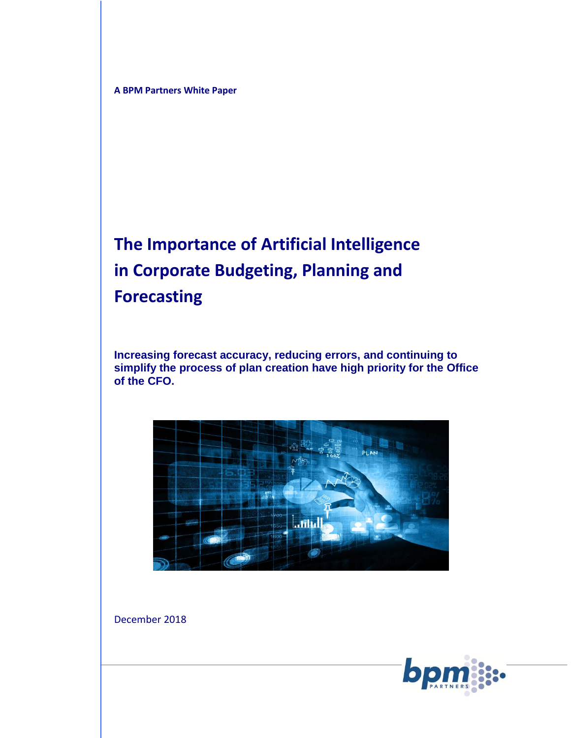**A BPM Partners White Paper**

# **The Importance of Artificial Intelligence in Corporate Budgeting, Planning and Forecasting**

**Increasing forecast accuracy, reducing errors, and continuing to simplify the process of plan creation have high priority for the Office of the CFO.**



December 2018

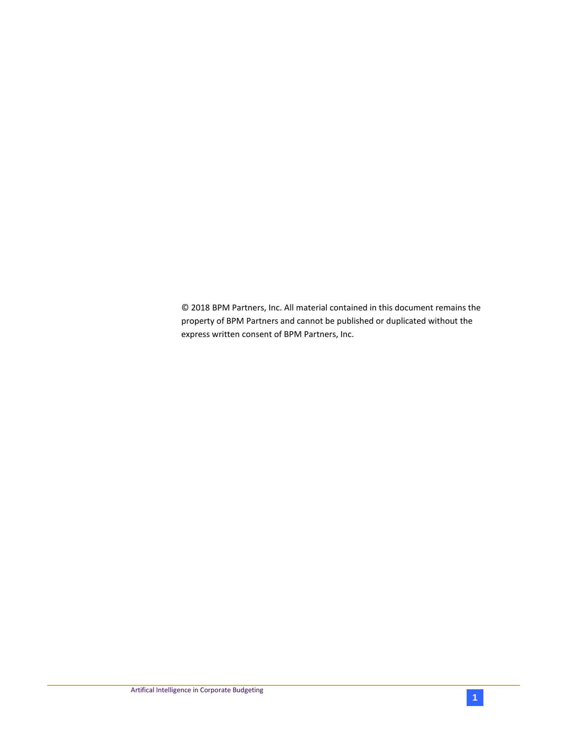© 2018 BPM Partners, Inc. All material contained in this document remains the property of BPM Partners and cannot be published or duplicated without the express written consent of BPM Partners, Inc.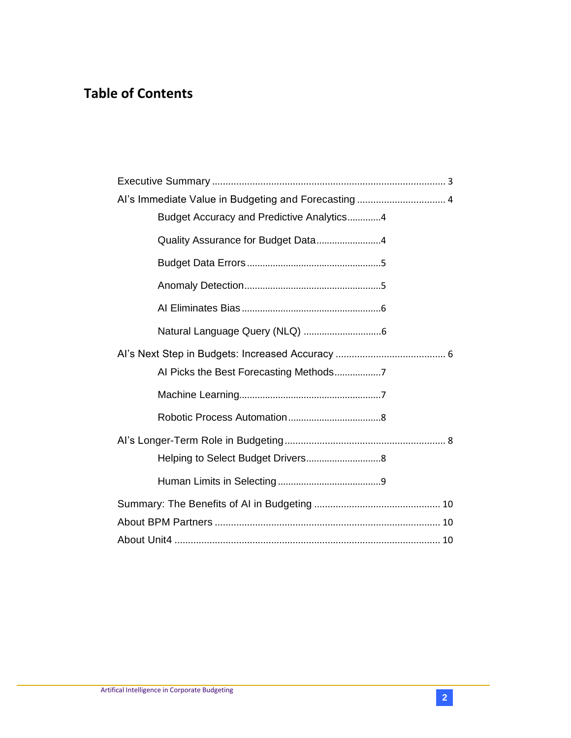# **Table of Contents**

| Al's Immediate Value in Budgeting and Forecasting 4 |
|-----------------------------------------------------|
| Budget Accuracy and Predictive Analytics4           |
| Quality Assurance for Budget Data4                  |
|                                                     |
|                                                     |
|                                                     |
|                                                     |
|                                                     |
|                                                     |
|                                                     |
|                                                     |
|                                                     |
|                                                     |
|                                                     |
|                                                     |
|                                                     |
|                                                     |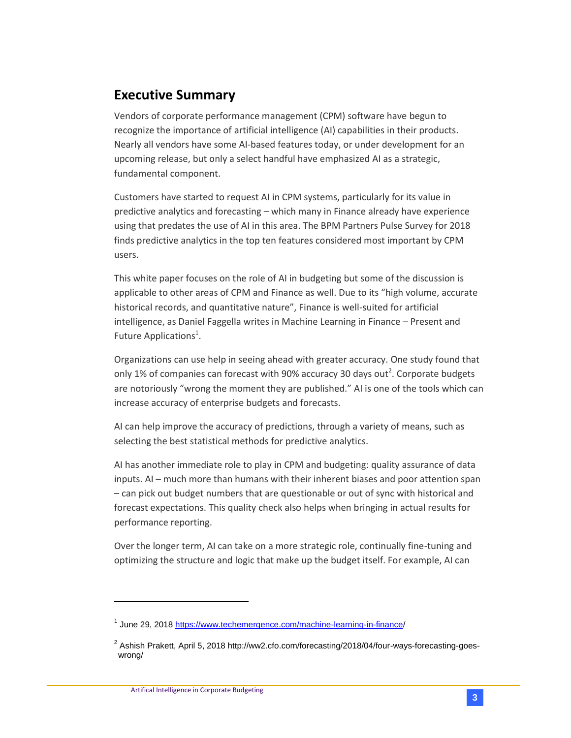### <span id="page-3-0"></span>**Executive Summary**

Vendors of corporate performance management (CPM) software have begun to recognize the importance of artificial intelligence (AI) capabilities in their products. Nearly all vendors have some AI-based features today, or under development for an upcoming release, but only a select handful have emphasized AI as a strategic, fundamental component.

Customers have started to request AI in CPM systems, particularly for its value in predictive analytics and forecasting – which many in Finance already have experience using that predates the use of AI in this area. The BPM Partners Pulse Survey for 2018 finds predictive analytics in the top ten features considered most important by CPM users.

This white paper focuses on the role of AI in budgeting but some of the discussion is applicable to other areas of CPM and Finance as well. Due to its "high volume, accurate historical records, and quantitative nature", Finance is well-suited for artificial intelligence, as Daniel Faggella writes in Machine Learning in Finance – Present and Future Applications<sup>1</sup>.

Organizations can use help in seeing ahead with greater accuracy. One study found that only 1% of companies can forecast with 90% accuracy 30 days out<sup>2</sup>. Corporate budgets are notoriously "wrong the moment they are published." AI is one of the tools which can increase accuracy of enterprise budgets and forecasts.

AI can help improve the accuracy of predictions, through a variety of means, such as selecting the best statistical methods for predictive analytics.

AI has another immediate role to play in CPM and budgeting: quality assurance of data inputs. AI – much more than humans with their inherent biases and poor attention span – can pick out budget numbers that are questionable or out of sync with historical and forecast expectations. This quality check also helps when bringing in actual results for performance reporting.

Over the longer term, AI can take on a more strategic role, continually fine-tuning and optimizing the structure and logic that make up the budget itself. For example, AI can

 $\overline{a}$ 

<sup>&</sup>lt;sup>1</sup> June 29, 2018 [https://www.techemergence.com/machine-learning-in-finance/](https://www.techemergence.com/machine-learning-in-finance)

 $^2$  Ashish Prakett, April 5, 2018 http://ww2.cfo.com/forecasting/2018/04/four-ways-forecasting-goeswrong/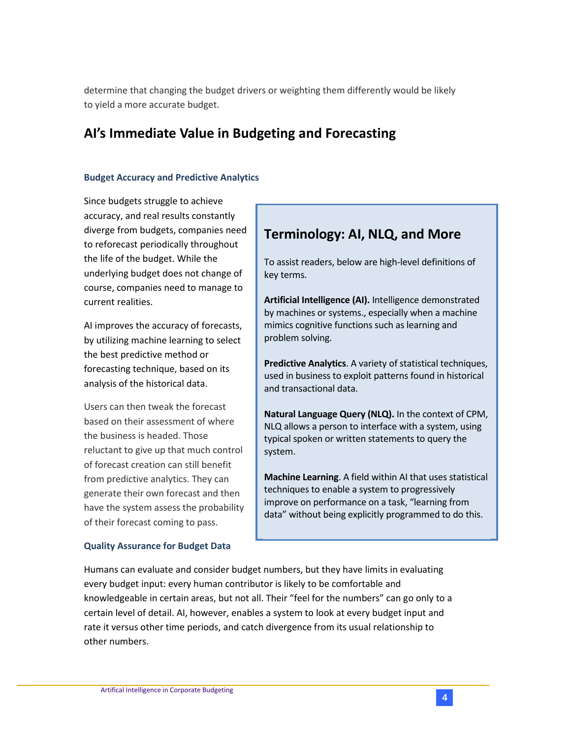determine that changing the budget drivers or weighting them differently would be likely to yield a more accurate budget.

### <span id="page-4-0"></span>**AI's Immediate Value in Budgeting and Forecasting**

### <span id="page-4-1"></span>**Budget Accuracy and Predictive Analytics**

Since budgets struggle to achieve accuracy, and real results constantly diverge from budgets, companies need to reforecast periodically throughout the life of the budget. While the underlying budget does not change of course, companies need to manage to current realities.

AI improves the accuracy of forecasts, by utilizing machine learning to select the best predictive method or forecasting technique, based on its analysis of the historical data.

Users can then tweak the forecast based on their assessment of where the business is headed. Those reluctant to give up that much control of forecast creation can still benefit from predictive analytics. They can generate their own forecast and then have the system assess the probability of their forecast coming to pass.

### <span id="page-4-2"></span>**Quality Assurance for Budget Data**

# **Terminology: AI, NLQ, and More**

To assist readers, below are high-level definitions of key terms.

**Artificial Intelligence (AI).** Intelligence demonstrated by machines or systems., especially when a machine mimics cognitive functions such as learning and problem solving.

**Predictive Analytics**. A variety of statistical techniques, used in business to exploit patterns found in historical and transactional data.

**Natural Language Query (NLQ).** In the context of CPM, NLQ allows a person to interface with a system, using typical spoken or written statements to query the system.

**Machine Learning**. A field within AI that uses statistical techniques to enable a system to progressively improve on performance on a task, "learning from data" without being explicitly programmed to do this.

Humans can evaluate and consider budget numbers, but they have limits in evaluating every budget input: every human contributor is likely to be comfortable and knowledgeable in certain areas, but not all. Their "feel for the numbers" can go only to a certain level of detail. AI, however, enables a system to look at every budget input and rate it versus other time periods, and catch divergence from its usual relationship to other numbers.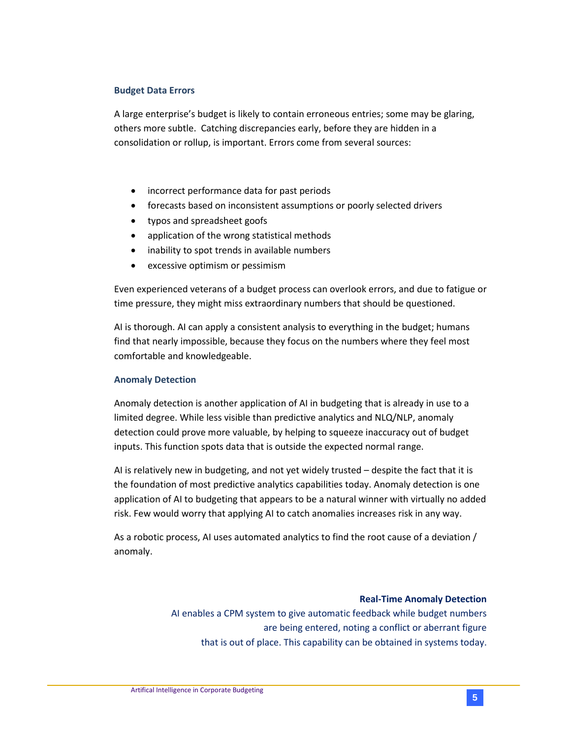#### <span id="page-5-0"></span>**Budget Data Errors**

A large enterprise's budget is likely to contain erroneous entries; some may be glaring, others more subtle. Catching discrepancies early, before they are hidden in a consolidation or rollup, is important. Errors come from several sources:

- incorrect performance data for past periods
- forecasts based on inconsistent assumptions or poorly selected drivers
- typos and spreadsheet goofs
- application of the wrong statistical methods
- inability to spot trends in available numbers
- excessive optimism or pessimism

Even experienced veterans of a budget process can overlook errors, and due to fatigue or time pressure, they might miss extraordinary numbers that should be questioned.

AI is thorough. AI can apply a consistent analysis to everything in the budget; humans find that nearly impossible, because they focus on the numbers where they feel most comfortable and knowledgeable.

### <span id="page-5-1"></span>**Anomaly Detection**

Anomaly detection is another application of AI in budgeting that is already in use to a limited degree. While less visible than predictive analytics and NLQ/NLP, anomaly detection could prove more valuable, by helping to squeeze inaccuracy out of budget inputs. This function spots data that is outside the expected normal range.

AI is relatively new in budgeting, and not yet widely trusted – despite the fact that it is the foundation of most predictive analytics capabilities today. Anomaly detection is one application of AI to budgeting that appears to be a natural winner with virtually no added risk. Few would worry that applying AI to catch anomalies increases risk in any way.

As a robotic process, AI uses automated analytics to find the root cause of a deviation / anomaly.

#### **Real-Time Anomaly Detection**

AI enables a CPM system to give automatic feedback while budget numbers are being entered, noting a conflict or aberrant figure that is out of place. This capability can be obtained in systems today.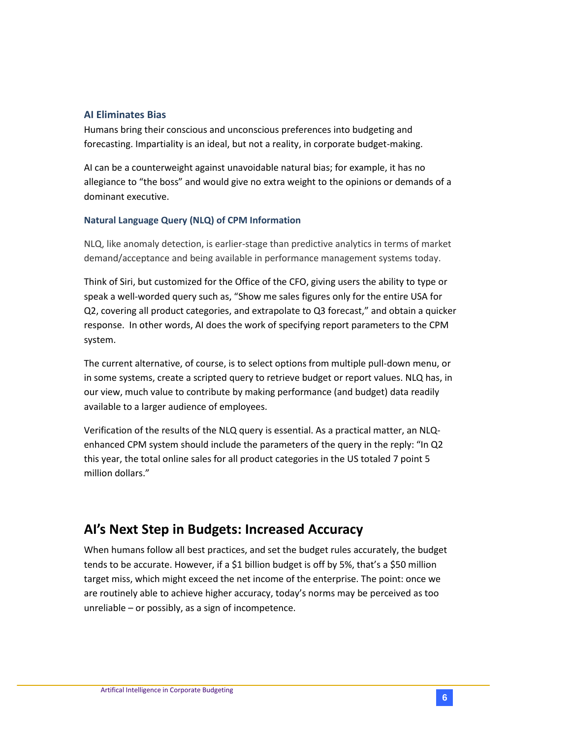### <span id="page-6-0"></span>**AI Eliminates Bias**

Humans bring their conscious and unconscious preferences into budgeting and forecasting. Impartiality is an ideal, but not a reality, in corporate budget-making.

AI can be a counterweight against unavoidable natural bias; for example, it has no allegiance to "the boss" and would give no extra weight to the opinions or demands of a dominant executive.

### <span id="page-6-1"></span>**Natural Language Query (NLQ) of CPM Information**

NLQ, like anomaly detection, is earlier-stage than predictive analytics in terms of market demand/acceptance and being available in performance management systems today.

Think of Siri, but customized for the Office of the CFO, giving users the ability to type or speak a well-worded query such as, "Show me sales figures only for the entire USA for Q2, covering all product categories, and extrapolate to Q3 forecast," and obtain a quicker response. In other words, AI does the work of specifying report parameters to the CPM system.

The current alternative, of course, is to select options from multiple pull-down menu, or in some systems, create a scripted query to retrieve budget or report values. NLQ has, in our view, much value to contribute by making performance (and budget) data readily available to a larger audience of employees.

Verification of the results of the NLQ query is essential. As a practical matter, an NLQenhanced CPM system should include the parameters of the query in the reply: "In Q2 this year, the total online sales for all product categories in the US totaled 7 point 5 million dollars."

### <span id="page-6-2"></span>**AI's Next Step in Budgets: Increased Accuracy**

When humans follow all best practices, and set the budget rules accurately, the budget tends to be accurate. However, if a \$1 billion budget is off by 5%, that's a \$50 million target miss, which might exceed the net income of the enterprise. The point: once we are routinely able to achieve higher accuracy, today's norms may be perceived as too unreliable – or possibly, as a sign of incompetence.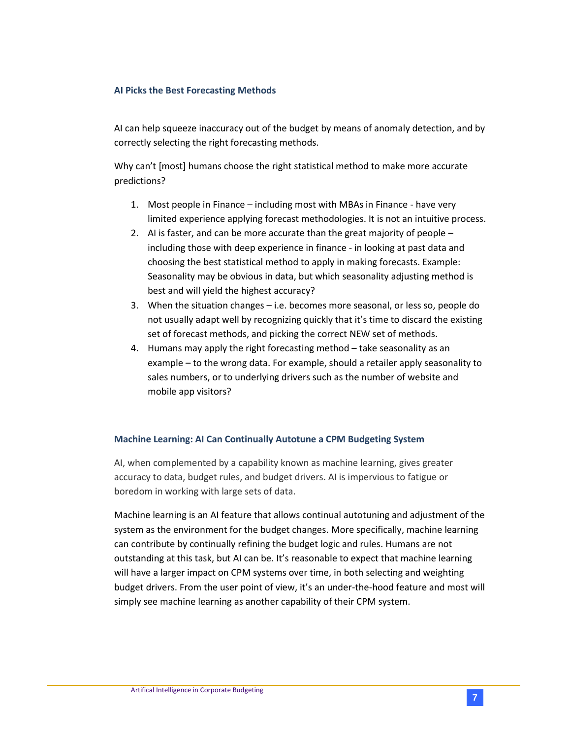### <span id="page-7-0"></span>**AI Picks the Best Forecasting Methods**

AI can help squeeze inaccuracy out of the budget by means of anomaly detection, and by correctly selecting the right forecasting methods.

Why can't [most] humans choose the right statistical method to make more accurate predictions?

- 1. Most people in Finance including most with MBAs in Finance have very limited experience applying forecast methodologies. It is not an intuitive process.
- 2. AI is faster, and can be more accurate than the great majority of people including those with deep experience in finance - in looking at past data and choosing the best statistical method to apply in making forecasts. Example: Seasonality may be obvious in data, but which seasonality adjusting method is best and will yield the highest accuracy?
- 3. When the situation changes i.e. becomes more seasonal, or less so, people do not usually adapt well by recognizing quickly that it's time to discard the existing set of forecast methods, and picking the correct NEW set of methods.
- 4. Humans may apply the right forecasting method take seasonality as an example – to the wrong data. For example, should a retailer apply seasonality to sales numbers, or to underlying drivers such as the number of website and mobile app visitors?

#### <span id="page-7-1"></span>**Machine Learning: AI Can Continually Autotune a CPM Budgeting System**

AI, when complemented by a capability known as machine learning, gives greater accuracy to data, budget rules, and budget drivers. AI is impervious to fatigue or boredom in working with large sets of data.

Machine learning is an AI feature that allows continual autotuning and adjustment of the system as the environment for the budget changes. More specifically, machine learning can contribute by continually refining the budget logic and rules. Humans are not outstanding at this task, but AI can be. It's reasonable to expect that machine learning will have a larger impact on CPM systems over time, in both selecting and weighting budget drivers. From the user point of view, it's an under-the-hood feature and most will simply see machine learning as another capability of their CPM system.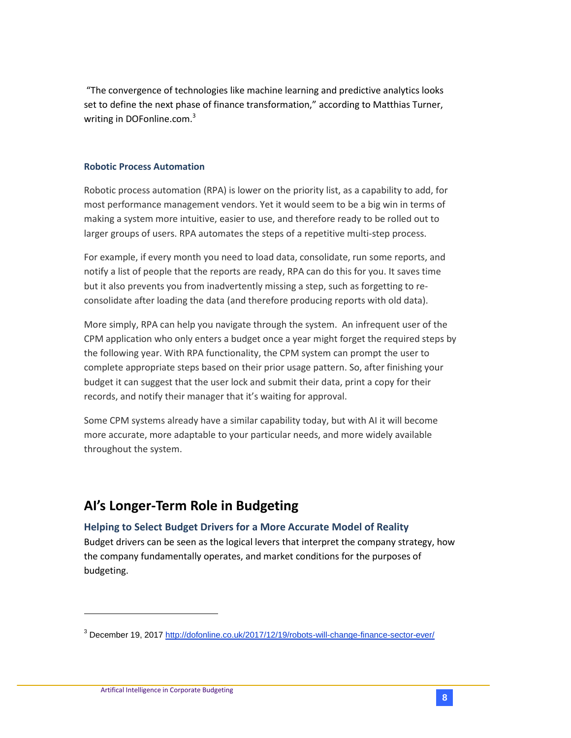"The convergence of technologies like machine learning and predictive analytics looks set to define the next phase of finance transformation," according to Matthias Turner, writing in DOFonline.com.<sup>3</sup>

### <span id="page-8-0"></span>**Robotic Process Automation**

Robotic process automation (RPA) is lower on the priority list, as a capability to add, for most performance management vendors. Yet it would seem to be a big win in terms of making a system more intuitive, easier to use, and therefore ready to be rolled out to larger groups of users. RPA automates the steps of a repetitive multi-step process.

For example, if every month you need to load data, consolidate, run some reports, and notify a list of people that the reports are ready, RPA can do this for you. It saves time but it also prevents you from inadvertently missing a step, such as forgetting to reconsolidate after loading the data (and therefore producing reports with old data).

More simply, RPA can help you navigate through the system. An infrequent user of the CPM application who only enters a budget once a year might forget the required steps by the following year. With RPA functionality, the CPM system can prompt the user to complete appropriate steps based on their prior usage pattern. So, after finishing your budget it can suggest that the user lock and submit their data, print a copy for their records, and notify their manager that it's waiting for approval.

Some CPM systems already have a similar capability today, but with AI it will become more accurate, more adaptable to your particular needs, and more widely available throughout the system.

### <span id="page-8-1"></span>**AI's Longer-Term Role in Budgeting**

### <span id="page-8-2"></span>**Helping to Select Budget Drivers for a More Accurate Model of Reality**

Budget drivers can be seen as the logical levers that interpret the company strategy, how the company fundamentally operates, and market conditions for the purposes of budgeting.

 $\overline{\phantom{a}}$ 

<sup>3</sup> December 19, 2017<http://dofonline.co.uk/2017/12/19/robots-will-change-finance-sector-ever/>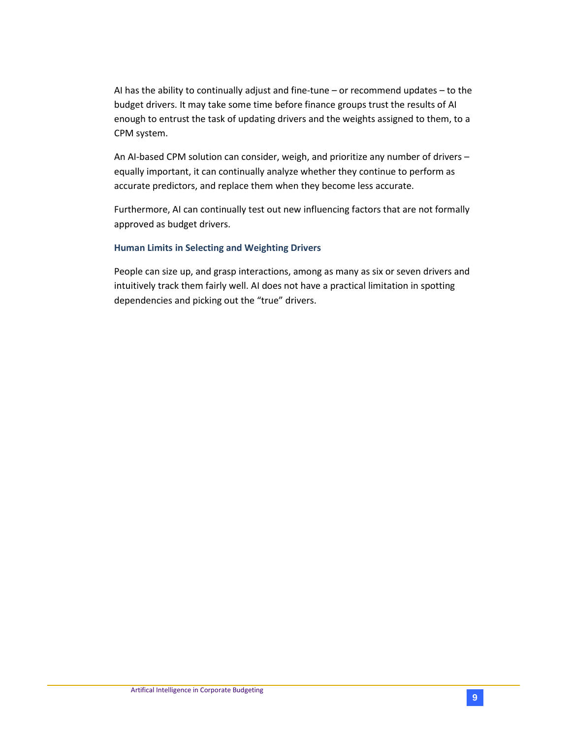AI has the ability to continually adjust and fine-tune – or recommend updates – to the budget drivers. It may take some time before finance groups trust the results of AI enough to entrust the task of updating drivers and the weights assigned to them, to a CPM system.

An AI-based CPM solution can consider, weigh, and prioritize any number of drivers – equally important, it can continually analyze whether they continue to perform as accurate predictors, and replace them when they become less accurate.

Furthermore, AI can continually test out new influencing factors that are not formally approved as budget drivers.

### <span id="page-9-0"></span>**Human Limits in Selecting and Weighting Drivers**

People can size up, and grasp interactions, among as many as six or seven drivers and intuitively track them fairly well. AI does not have a practical limitation in spotting dependencies and picking out the "true" drivers.